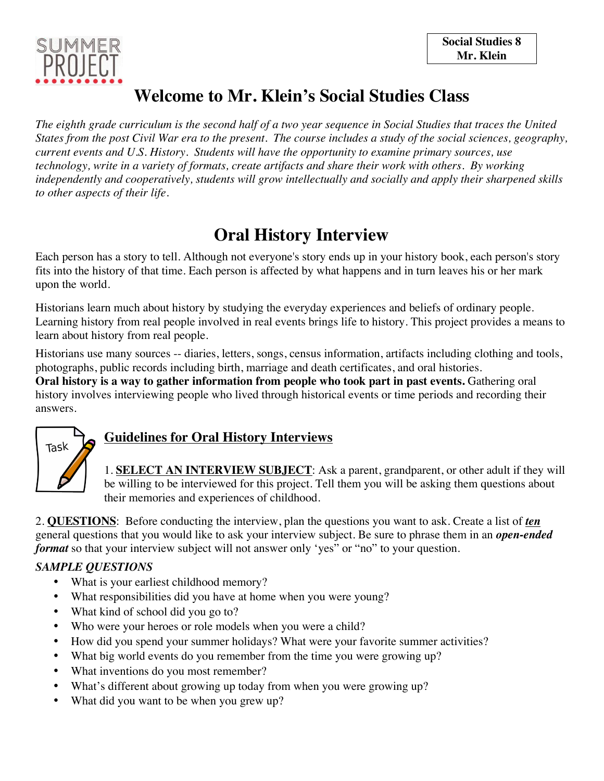

# **Welcome to Mr. Klein's Social Studies Class**

*The eighth grade curriculum is the second half of a two year sequence in Social Studies that traces the United States from the post Civil War era to the present. The course includes a study of the social sciences, geography, current events and U.S. History. Students will have the opportunity to examine primary sources, use technology, write in a variety of formats, create artifacts and share their work with others. By working independently and cooperatively, students will grow intellectually and socially and apply their sharpened skills to other aspects of their life.*

# **Oral History Interview**

Each person has a story to tell. Although not everyone's story ends up in your history book, each person's story fits into the history of that time. Each person is affected by what happens and in turn leaves his or her mark upon the world.

Historians learn much about history by studying the everyday experiences and beliefs of ordinary people. Learning history from real people involved in real events brings life to history. This project provides a means to learn about history from real people.

Historians use many sources -- diaries, letters, songs, census information, artifacts including clothing and tools, photographs, public records including birth, marriage and death certificates, and oral histories.

**Oral history is a way to gather information from people who took part in past events.** Gathering oral history involves interviewing people who lived through historical events or time periods and recording their answers.



### **Guidelines for Oral History Interviews**

1. **SELECT AN INTERVIEW SUBJECT**: Ask a parent, grandparent, or other adult if they will be willing to be interviewed for this project. Tell them you will be asking them questions about their memories and experiences of childhood.

2. **QUESTIONS**: Before conducting the interview, plan the questions you want to ask. Create a list of *ten* general questions that you would like to ask your interview subject. Be sure to phrase them in an *open-ended format* so that your interview subject will not answer only 'yes" or "no" to your question.

### *SAMPLE QUESTIONS*

- What is your earliest childhood memory?
- What responsibilities did you have at home when you were young?
- What kind of school did you go to?
- Who were your heroes or role models when you were a child?
- How did you spend your summer holidays? What were your favorite summer activities?
- What big world events do you remember from the time you were growing up?
- What inventions do you most remember?
- What's different about growing up today from when you were growing up?
- What did you want to be when you grew up?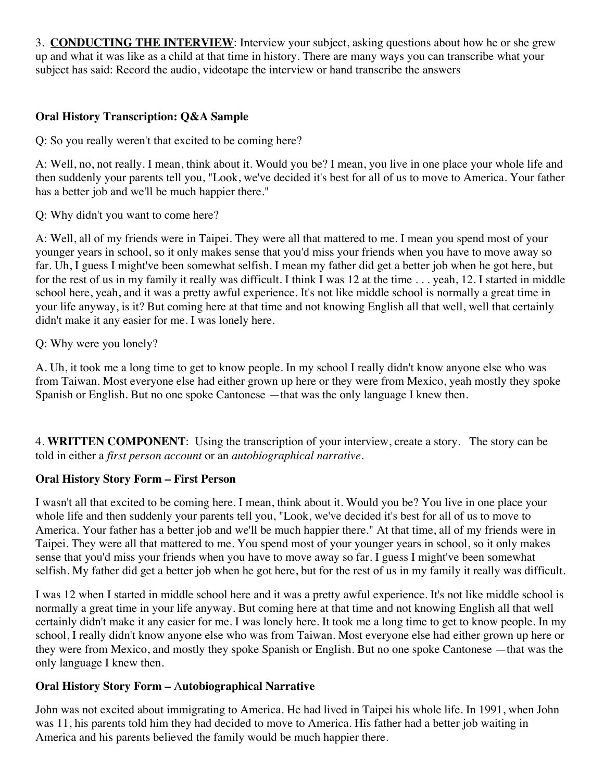3. **CONDUCTING THE INTERVIEW**: Interview your subject, asking questions about how he or she grew up and what it was like as a child at that time in history. There are many ways you can transcribe what your subject has said: Record the audio, videotape the interview or hand transcribe the answers

#### **Oral History Transcription: Q&A Sample**

Q: So you really weren't that excited to be coming here?

A: Well, no, not really. I mean, think about it. Would you be? I mean, you live in one place your whole life and then suddenly your parents tell you, "Look, we've decided it's best for all of us to move to America. Your father has a better job and we'll be much happier there."

Q: Why didn't you want to come here?

A: Well, all of my friends were in Taipei. They were all that mattered to me. I mean you spend most of your younger years in school, so it only makes sense that you'd miss your friends when you have to move away so far. Uh, I guess I might've been somewhat selfish. I mean my father did get a better job when he got here, but for the rest of us in my family it really was difficult. I think I was 12 at the time . . . yeah, 12. I started in middle school here, yeah, and it was a pretty awful experience. It's not like middle school is normally a great time in your life anyway, is it? But coming here at that time and not knowing English all that well, well that certainly didn't make it any easier for me. I was lonely here.

Q: Why were you lonely?

A. Uh, it took me a long time to get to know people. In my school I really didn't know anyone else who was from Taiwan. Most everyone else had either grown up here or they were from Mexico, yeah mostly they spoke Spanish or English. But no one spoke Cantonese —that was the only language I knew then.

4. **WRITTEN COMPONENT**: Using the transcription of your interview, create a story. The story can be told in either a *first person account* or an *autobiographical narrative*.

#### **Oral History Story Form – First Person**

I wasn't all that excited to be coming here. I mean, think about it. Would you be? You live in one place your whole life and then suddenly your parents tell you, "Look, we've decided it's best for all of us to move to America. Your father has a better job and we'll be much happier there." At that time, all of my friends were in Taipei. They were all that mattered to me. You spend most of your younger years in school, so it only makes sense that you'd miss your friends when you have to move away so far. I guess I might've been somewhat selfish. My father did get a better job when he got here, but for the rest of us in my family it really was difficult.

I was 12 when I started in middle school here and it was a pretty awful experience. It's not like middle school is normally a great time in your life anyway. But coming here at that time and not knowing English all that well certainly didn't make it any easier for me. I was lonely here. It took me a long time to get to know people. In my school, I really didn't know anyone else who was from Taiwan. Most everyone else had either grown up here or they were from Mexico, and mostly they spoke Spanish or English. But no one spoke Cantonese —that was the only language I knew then.

#### **Oral History Story Form –** A**utobiographical Narrative**

John was not excited about immigrating to America. He had lived in Taipei his whole life. In 1991, when John was 11, his parents told him they had decided to move to America. His father had a better job waiting in America and his parents believed the family would be much happier there.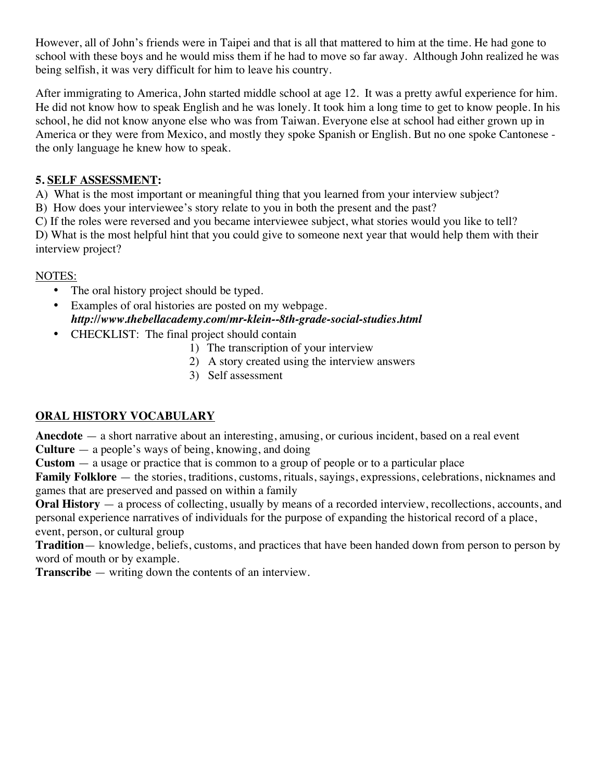However, all of John's friends were in Taipei and that is all that mattered to him at the time. He had gone to school with these boys and he would miss them if he had to move so far away. Although John realized he was being selfish, it was very difficult for him to leave his country.

After immigrating to America, John started middle school at age 12. It was a pretty awful experience for him. He did not know how to speak English and he was lonely. It took him a long time to get to know people. In his school, he did not know anyone else who was from Taiwan. Everyone else at school had either grown up in America or they were from Mexico, and mostly they spoke Spanish or English. But no one spoke Cantonese the only language he knew how to speak.

#### **5. SELF ASSESSMENT:**

A) What is the most important or meaningful thing that you learned from your interview subject?

B) How does your interviewee's story relate to you in both the present and the past?

C) If the roles were reversed and you became interviewee subject, what stories would you like to tell?

D) What is the most helpful hint that you could give to someone next year that would help them with their interview project?

#### NOTES:

- The oral history project should be typed.
- Examples of oral histories are posted on my webpage. *http://www.thebellacademy.com/mr-klein--8th-grade-social-studies.html*
- CHECKLIST: The final project should contain
	- 1) The transcription of your interview
	- 2) A story created using the interview answers
	- 3) Self assessment

#### **ORAL HISTORY VOCABULARY**

**Anecdote** — a short narrative about an interesting, amusing, or curious incident, based on a real event **Culture** — a people's ways of being, knowing, and doing

**Custom** — a usage or practice that is common to a group of people or to a particular place

**Family Folklore** — the stories, traditions, customs, rituals, sayings, expressions, celebrations, nicknames and games that are preserved and passed on within a family

**Oral History** — a process of collecting, usually by means of a recorded interview, recollections, accounts, and personal experience narratives of individuals for the purpose of expanding the historical record of a place, event, person, or cultural group

**Tradition**— knowledge, beliefs, customs, and practices that have been handed down from person to person by word of mouth or by example.

**Transcribe** — writing down the contents of an interview.